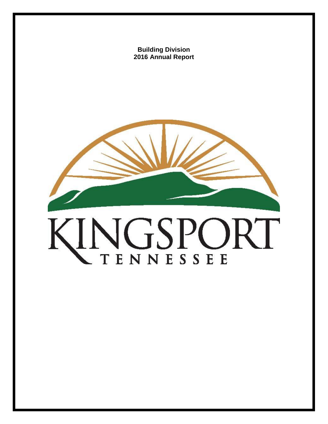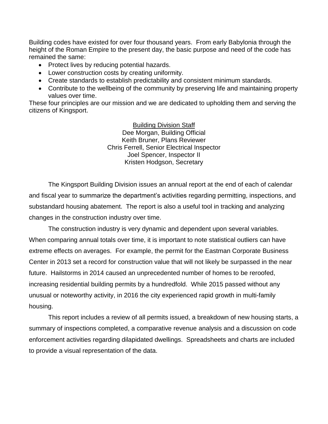Building codes have existed for over four thousand years. From early Babylonia through the height of the Roman Empire to the present day, the basic purpose and need of the code has remained the same:

- Protect lives by reducing potential hazards.
- Lower construction costs by creating uniformity.
- Create standards to establish predictability and consistent minimum standards.
- Contribute to the wellbeing of the community by preserving life and maintaining property values over time.

These four principles are our mission and we are dedicated to upholding them and serving the citizens of Kingsport.

> Building Division Staff Dee Morgan, Building Official Keith Bruner, Plans Reviewer Chris Ferrell, Senior Electrical Inspector Joel Spencer, Inspector II Kristen Hodgson, Secretary

The Kingsport Building Division issues an annual report at the end of each of calendar and fiscal year to summarize the department's activities regarding permitting, inspections, and substandard housing abatement. The report is also a useful tool in tracking and analyzing changes in the construction industry over time.

The construction industry is very dynamic and dependent upon several variables. When comparing annual totals over time, it is important to note statistical outliers can have extreme effects on averages. For example, the permit for the Eastman Corporate Business Center in 2013 set a record for construction value that will not likely be surpassed in the near future. Hailstorms in 2014 caused an unprecedented number of homes to be reroofed, increasing residential building permits by a hundredfold. While 2015 passed without any unusual or noteworthy activity, in 2016 the city experienced rapid growth in multi-family housing.

This report includes a review of all permits issued, a breakdown of new housing starts, a summary of inspections completed, a comparative revenue analysis and a discussion on code enforcement activities regarding dilapidated dwellings. Spreadsheets and charts are included to provide a visual representation of the data.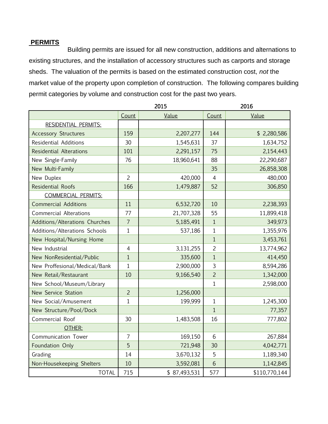## **PERMITS**

Building permits are issued for all new construction, additions and alternations to existing structures, and the installation of accessory structures such as carports and storage sheds. The valuation of the permits is based on the estimated construction cost, *not* the market value of the property upon completion of construction. The following compares building permit categories by volume and construction cost for the past two years.

|                                |                | 2015         | 2016           |               |
|--------------------------------|----------------|--------------|----------------|---------------|
|                                | Count          | Value        | Count          | Value         |
| RESIDENTIAL PERMITS:           |                |              |                |               |
| <b>Accessory Structures</b>    | 159            | 2,207,277    | 144            | \$2,280,586   |
| <b>Residential Additions</b>   | 30             | 1,545,631    | 37             | 1,634,752     |
| <b>Residential Alterations</b> | 101            | 2,291,157    | 75             | 2,154,443     |
| New Single-Family              | 76             | 18,960,641   | 88             | 22,290,687    |
| New Multi-Family               |                |              | 35             | 26,858,308    |
| New Duplex                     | $\overline{2}$ | 420,000      | $\overline{4}$ | 480,000       |
| <b>Residential Roofs</b>       | 166            | 1,479,887    | 52             | 306,850       |
| <b>COMMERCIAL PERMITS:</b>     |                |              |                |               |
| <b>Commercial Additions</b>    | 11             | 6,532,720    | 10             | 2,238,393     |
| <b>Commercial Alterations</b>  | 77             | 21,707,328   | 55             | 11,899,418    |
| Additions/Alterations Churches | $\overline{7}$ | 5,185,491    | $\mathbf{1}$   | 349,973       |
| Additions/Alterations Schools  | $\mathbf{1}$   | 537,186      | $\mathbf{1}$   | 1,355,976     |
| New Hospital/Nursing Home      |                |              | 1              | 3,453,761     |
| New Industrial                 | $\overline{4}$ | 3,131,255    | $\overline{2}$ | 13,774,962    |
| New NonResidential/Public      | $1\,$          | 335,600      | $\mathbf{1}$   | 414,450       |
| New Proffesional/Medical/Bank  | $\mathbf{1}$   | 2,900,000    | 3              | 8,594,286     |
| New Retail/Restaurant          | 10             | 9,166,540    | $\overline{2}$ | 1,342,000     |
| New School/Museum/Library      |                |              | $\mathbf{1}$   | 2,598,000     |
| <b>New Service Station</b>     | $\overline{2}$ | 1,256,000    |                |               |
| New Social/Amusement           | $\mathbf 1$    | 199,999      | $\mathbf{1}$   | 1,245,300     |
| New Structure/Pool/Dock        |                |              | $\mathbf{1}$   | 77,357        |
| Commercial Roof                | 30             | 1,483,508    | 16             | 777,802       |
| OTHER:                         |                |              |                |               |
| Communication Tower            | 7              | 169,150      | 6              | 267,884       |
| Foundation Only                | 5              | 721,948      | 30             | 4,042,771     |
| Grading                        | 14             | 3,670,132    | 5              | 1,189,340     |
| Non-Housekeeping Shelters      | 10             | 3,592,081    | 6              | 1,142,845     |
| <b>TOTAL</b>                   | 715            | \$87,493,531 | 577            | \$110,770,144 |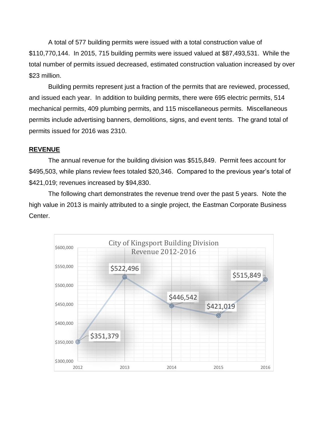A total of 577 building permits were issued with a total construction value of \$110,770,144. In 2015, 715 building permits were issued valued at \$87,493,531. While the total number of permits issued decreased, estimated construction valuation increased by over \$23 million.

Building permits represent just a fraction of the permits that are reviewed, processed, and issued each year. In addition to building permits, there were 695 electric permits, 514 mechanical permits, 409 plumbing permits, and 115 miscellaneous permits. Miscellaneous permits include advertising banners, demolitions, signs, and event tents. The grand total of permits issued for 2016 was 2310.

#### **REVENUE**

The annual revenue for the building division was \$515,849. Permit fees account for \$495,503, while plans review fees totaled \$20,346. Compared to the previous year's total of \$421,019; revenues increased by \$94,830.

The following chart demonstrates the revenue trend over the past 5 years. Note the high value in 2013 is mainly attributed to a single project, the Eastman Corporate Business Center.

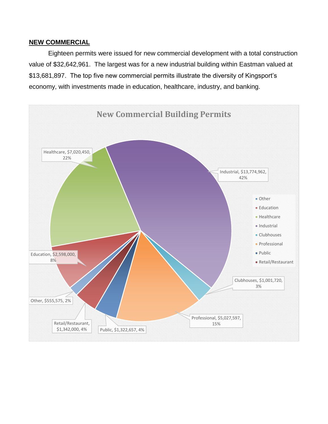#### **NEW COMMERCIAL**

Eighteen permits were issued for new commercial development with a total construction value of \$32,642,961. The largest was for a new industrial building within Eastman valued at \$13,681,897. The top five new commercial permits illustrate the diversity of Kingsport's economy, with investments made in education, healthcare, industry, and banking.

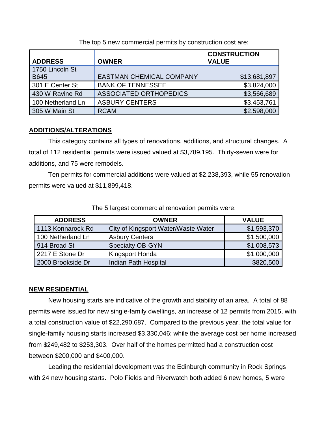The top 5 new commercial permits by construction cost are:

|                   |                                 | <b>CONSTRUCTION</b> |
|-------------------|---------------------------------|---------------------|
| <b>ADDRESS</b>    | <b>OWNER</b>                    | <b>VALUE</b>        |
| 1750 Lincoln St   |                                 |                     |
| <b>B645</b>       | <b>EASTMAN CHEMICAL COMPANY</b> | \$13,681,897        |
| 301 E Center St   | <b>BANK OF TENNESSEE</b>        | \$3,824,000         |
| 430 W Ravine Rd   | <b>ASSOCIATED ORTHOPEDICS</b>   | \$3,566,689         |
| 100 Netherland Ln | <b>ASBURY CENTERS</b>           | \$3,453,761         |
| 305 W Main St     | <b>RCAM</b>                     | \$2,598,000         |

## **ADDITIONS/ALTERATIONS**

This category contains all types of renovations, additions, and structural changes. A total of 112 residential permits were issued valued at \$3,789,195. Thirty-seven were for additions, and 75 were remodels.

Ten permits for commercial additions were valued at \$2,238,393, while 55 renovation permits were valued at \$11,899,418.

| <b>ADDRESS</b>    | <b>OWNER</b>                        | <b>VALUE</b> |
|-------------------|-------------------------------------|--------------|
| 1113 Konnarock Rd | City of Kingsport Water/Waste Water | \$1,593,370  |
| 100 Netherland Ln | <b>Asbury Centers</b>               | \$1,500,000  |
| 914 Broad St      | <b>Specialty OB-GYN</b>             | \$1,008,573  |
| 2217 E Stone Dr   | Kingsport Honda                     | \$1,000,000  |
| 2000 Brookside Dr | Indian Path Hospital                | \$820,500    |

The 5 largest commercial renovation permits were:

## **NEW RESIDENTIAL**

New housing starts are indicative of the growth and stability of an area. A total of 88 permits were issued for new single-family dwellings, an increase of 12 permits from 2015, with a total construction value of \$22,290,687. Compared to the previous year, the total value for single-family housing starts increased \$3,330,046; while the average cost per home increased from \$249,482 to \$253,303. Over half of the homes permitted had a construction cost between \$200,000 and \$400,000.

Leading the residential development was the Edinburgh community in Rock Springs with 24 new housing starts. Polo Fields and Riverwatch both added 6 new homes, 5 were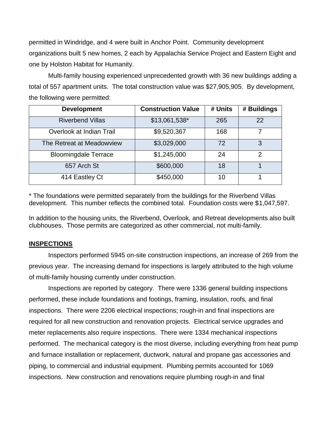permitted in Windridge, and 4 were built in Anchor Point. Community development organizations built 5 new homes, 2 each by Appalachia Service Project and Eastern Eight and one by Holston Habitat for Humanity.

Multi-family housing experienced unprecedented growth with 36 new buildings adding a total of 557 apartment units. The total construction value was \$27,905,905. By development, the following were permitted:

| <b>Development</b>          | <b>Construction Value</b> | # Units | # Buildings    |
|-----------------------------|---------------------------|---------|----------------|
| <b>Riverbend Villas</b>     | \$13,061,538*             | 265     | 22             |
| Overlook at Indian Trail    | \$9,520,367               | 168     |                |
| The Retreat at Meadowview   | \$3,029,000               | 72      | 3              |
| <b>Bloomingdale Terrace</b> | \$1,245,000               | 24      | $\overline{2}$ |
| 657 Arch St                 | \$600,000                 | 18      |                |
| 414 Eastley Ct              | \$450,000                 | 10      |                |

\* The foundations were permitted separately from the buildings for the Riverbend Villas development. This number reflects the combined total. Foundation costs were \$1,047,597.

In addition to the housing units, the Riverbend, Overlook, and Retreat developments also built clubhouses. Those permits are categorized as other commercial, not multi-family.

#### **INSPECTIONS**

Inspectors performed 5945 on-site construction inspections, an increase of 269 from the previous year. The increasing demand for inspections is largely attributed to the high volume of multi-family housing currently under construction.

Inspections are reported by category. There were 1336 general building inspections performed, these include foundations and footings, framing, insulation, roofs, and final inspections. There were 2206 electrical inspections; rough-in and final inspections are required for all new construction and renovation projects. Electrical service upgrades and meter replacements also require inspections. There were 1334 mechanical inspections performed. The mechanical category is the most diverse, including everything from heat pump and furnace installation or replacement, ductwork, natural and propane gas accessories and piping, to commercial and industrial equipment. Plumbing permits accounted for 1069 inspections. New construction and renovations require plumbing rough-in and final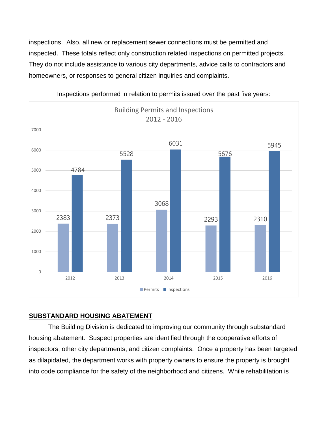inspections. Also, all new or replacement sewer connections must be permitted and inspected. These totals reflect only construction related inspections on permitted projects. They do not include assistance to various city departments, advice calls to contractors and homeowners, or responses to general citizen inquiries and complaints.



Inspections performed in relation to permits issued over the past five years:

# **SUBSTANDARD HOUSING ABATEMENT**

The Building Division is dedicated to improving our community through substandard housing abatement. Suspect properties are identified through the cooperative efforts of inspectors, other city departments, and citizen complaints. Once a property has been targeted as dilapidated, the department works with property owners to ensure the property is brought into code compliance for the safety of the neighborhood and citizens. While rehabilitation is